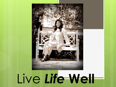

# Live *Life* **Well**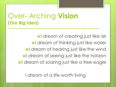### Over- Arching **Vision (Our Big Idea) ------------------------------------------------**

ol dream of creating just like air ol dream of thinking just like water ol dream of hearing just like the wind ol dream of seeing just like the horizon ol dream of soaring just like a free eagle

I dream of a life worth living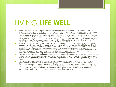# LIVING *LIFE* **WELL**

- It's 8:37 am and we're rushing to our seats. As I take hold of where I am, I hear, "Ready! Set! Go!" Newton, our Jack Russell, barks at the sound of the relay gun going off. I hold him tightly while smiling as I turn to my left and my husband, Cedric, is on his feet, cheering Team USA to the finish line. "We're winning! He may break the world record. On my right, my oldest son and his girlfriend are not paying attention to the race because they are looking into each other's eyes. My youngest son, his voice deeper now, is shouting, "Go! Go! Go! My daughter, as usual, is on the phone texting away on her phone. Alas, I'm here, smiling, because I envisioned this déjà vu moment in Kary's " I Have A Dream Speech for the March 11, 2013 Deeper Path Cohort session.
- Today is August 5, 2016 in Rio de Janeiro, Brazil. How interesting that the motto is "Live Your Passion" because I am living mine. I have become an internationally renowned speaker of truth, teacher of life, coach of conscious, mentor of opportunities, author of inspiration, an run an internet marketing enterprise, which include www.carlaandrews.com, www.signatureliving.com, www.applecoresolutions.com, www.professional-development-systems.com and www.nexotica.com who makes a difference through servant leadership values Christian principles with returns in abundance in faith, family, fitness, friends, fellowship, festivities, fun, and financial significance.
- **o** You see, in the past, because of the intensity of the criterias of my previous jobs, my life functioned on business first, family second, and God last. But now, I am living my dream with God first, family, and then business, significantly in that order. I am fulfilling my personal and business goals through God's grace and mercy.
- With a diverse background in life through faith, childhood, parenthood, schooling, business, and gifted insight, I will contribute to individuals, groups or audiences that are tailored just for them. Through new freedom, I will continuously, positively impact individuals, children, youth, and families, organizations until my last days and help them believe that the Lord has a special calling on their life and that we are on earth to increase God's kingdom. I want to help a person in his/her human potential and believe an inspired soul can soar to unlimited greatness.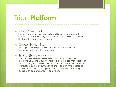# Tribe **Platform**

**o** Tribe (Someone) –

 Those who hear my voice clearly and knows it resonates with individuals, teams, and organizations who want to build a better life through learning and growing

**---------------------------------------------**

#### Cause (Something) –

 Finding joy with a purpose no matter the circumstances . A significance for why they are here.

#### o Space (Somewhere)-

 Create and Invite you to a moral community locally, globally, internationally, and virtually where it is a safe place that will stretch and challenge you to elevate and transform to the next level . It will foster a culture of truth, abundance, and unlimited potential carved with a web of happiness and optimism and spiritually boxed with passion, purpose, and vision.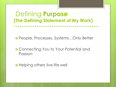### Defining **Purpose (The Defining Statement of My Work)**

People, Processes, Systems…Only Better

**---------------------------------------------**

 Connecting You to Your Potential and Passion

**o** Helping others live life well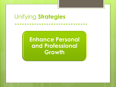**Enhance Personal and Professional Growth**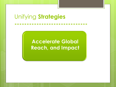### **Accelerate Global Reach, and Impact**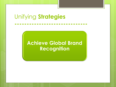### **Achieve Global Brand Recognition**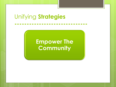### **Empower The Community**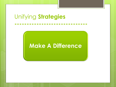### **Make A Difference**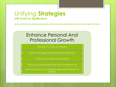### Enhance Personal And Professional Growth

**-----------------------------------**

Articulate my vision and dreams

Build on the legacy of modeling encouragement

Learn from ancestors have created

Stand up to the greatness that God intended for me

Invite nurturing from the entreprenuerial spirit of influencial **leaders**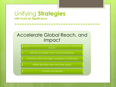### Accelerate Global Reach, and Impact

**-----------------------------------**

Engage the Personal and Professional Community in Leadership **Growth** 

Elevate, evangelize in life, love, and leadership

Prominent within the religion, academia, and business

Where greatness meet class poise, grace

Connect and expand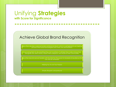#### Achieve Global Brand Recognition

**-----------------------------------**

help others develop a personal and/or professional dream which is a springboard to an inspiring picture of the future that energizes one's mind, will, and emotions.

Empowering them to do everything thay can to achieve. It will help them make choices that strenghten the client's family, impact their workplace, and influence their communities.

Help others become servant leaders with the intent for the pursuit of standards of excellence that can only be witnessed.

Helping You To Live Your Passion

Simple, Eloquent, and profound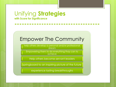### Empower The Community

**-----------------------------------**

help others develop a personal and/or professional dream

Empowering them to do everything thay can to achieve

Help others become servant leaders

springboard to an inspiring picture of the future

experience lasting breakthroughs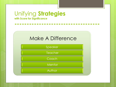

| Speaker |
|---------|
| Teacher |
| Coach   |
| Mentor  |
| Author  |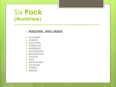### Six **Pack (WorldView)**

#### 1. **WORLDVIEW - WHAT I BELIEVE**

- **o** ALIGNMENT
- **o** JOURNEY
- **o** EDUCATION
- **o** CHARACTER
- **o** EXPERIENCE
- **o** RELATIONSHIPS
- **o** BACKGROUND
- o CHOICES
- o SKILLS
- **o** DEVELOPMENT
- **o** SOLUTIONS
- o SYSTEMS
- **o** DESIGNS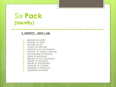# Six **Pack (Identity)**

#### **-------------------------------------- 2. IDENTITY – WHO I AM**

- **o** BELIEVER OF CHRIST-
- **o** SPEAKER OF TRUTH
- **o TEACHER OF LIFE**
- **o** COACH OF PROCESS
- **O** MENTOR OF ACCOUNTABILITY
- **O** AUTHOR OF MORAL COMPASS
- **o** ENCOURAGER OF HEALING
- **o** GUIDE OF DECISIONS
- **o** SERVANT OF ACCOUNTABILITY
- **o** LEADER OF THOUGHTS
- **o** DRIVER OF OPPORTUNITY
- **o** CREATOR OF CONTENT
- **o** DESIGNER OF PRODUCTS
- **o** LEADERSHIP SIMPLIFIED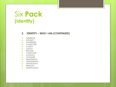# Six **Pack (Identity)**

#### **2. IDENTITY – WHO I AM (CONTINUED)**

- **o** GENEROUS
- **o** INTEGRITY
- **o** AWARENESS
- **o** CHARACTER
- **o** CLARITY
- **o JUSTICE**
- o FXPI ORF
- **o** OVERCOME
- **o** LOGISTICS
- **o** CONQUER
- **o** ABUNDANCE
- **o** FUNDAMENTAL
- **o** OPPORTUNITY
- FREEDOM
- **o** SIGNIFICANCE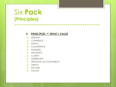# Six **Pack (Principles)**

#### **3. PRINCIPLES – WHAT I VALUE**

- **o IDENTITIY**
- **o** CONFIENCE
- o IMPACT
- **o** COMPETENCE
- **o** KINDNESS
- **o** INFLUENCE
- **o** CLARITY
- **o** GENEROSITY
- **o** PERSONAL ACCOUNTABILITY
- **o** GRACE
- o INCOME
- **o** PAYOFF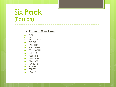# Six **Pack (Passion)**

#### **4. Passion – What I love**

- FAITH
- o FACT
- **o** FACILITATION
- FAVOR
- **o** FANSHIP
- **o** FOLLOWERS
- **o** FELLOWSHIP
- **o** FRIENDS
- **o** FESTIVITIES
- FREEDOM
- **o** FINANCE
- **o** FORTUNE
- **o** FUTURE
- **o** FITNESS
- FAMILY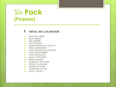# Six **Pack (Purpose)**

#### **5. PURPOSE - WHY I LIVE AND WORK**

- **o** KINGDOM USHER
- **o** TRUTH SFFKER
- **o** LIFE-LEARNER
- **o VOICE FINDER**
- **o** TRANSFORMATION CATALYST
- **o** PEACE MESSENGER
- **O** TOXIC RELATION ELIMINATOR
- YOUTH EMPOWERER
- **o** CHILD ADVOCATE
- **o** FAMILY SUPPORTER
- **o** INSIDE-OUTSIDE
- **o** SCHEDULE CRUNCHER
- **o** PROJECT MANAGER
- **o** PROBLEM SOLVER
- **o** CAREGIVER OF SELF
- **o** FAMILY LEGACY